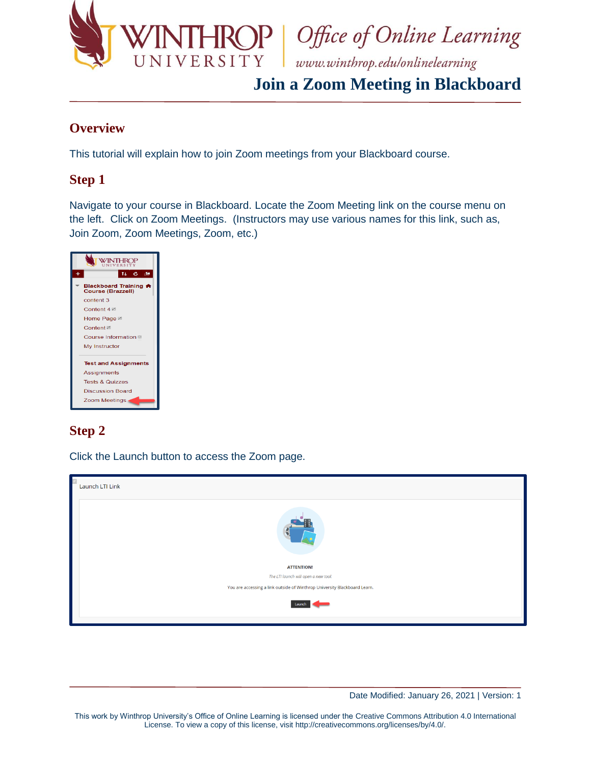

**IROP** Office of Online Learning

# **Join a Zoom Meeting in Blackboard**

### **Overview**

This tutorial will explain how to join Zoom meetings from your Blackboard course.

### **Step 1**

 Navigate to your course in Blackboard. Locate the Zoom Meeting link on the course menu on the left. Click on Zoom Meetings. (Instructors may use various names for this link, such as, Join Zoom, Zoom Meetings, Zoom, etc.)

|                                            | TI.<br>$\mathbf{c}$ | 直 |  |  |
|--------------------------------------------|---------------------|---|--|--|
| Blackboard Training A<br>Course (Brazzell) |                     |   |  |  |
| content 3                                  |                     |   |  |  |
| Content 4 <b>Ø</b>                         |                     |   |  |  |
| Home Page <b><sup>27</sup></b>             |                     |   |  |  |
| Content <b>☑</b>                           |                     |   |  |  |
| Course Information                         |                     |   |  |  |
| My Instructor                              |                     |   |  |  |
| <b>Test and Assignments</b>                |                     |   |  |  |
| Assignments                                |                     |   |  |  |
| <b>Tests &amp; Quizzes</b>                 |                     |   |  |  |
| <b>Discussion Board</b>                    |                     |   |  |  |
| Zoom Meetings                              |                     |   |  |  |

## **Step 2**

Click the Launch button to access the Zoom page.

| Launch LTI Link                                                           |  |  |  |  |
|---------------------------------------------------------------------------|--|--|--|--|
|                                                                           |  |  |  |  |
| <b>ATTENTION!</b>                                                         |  |  |  |  |
| The LTI launch will open a new tool.                                      |  |  |  |  |
| You are accessing a link outside of Winthrop University Blackboard Learn. |  |  |  |  |
| Launch                                                                    |  |  |  |  |

Date Modified: January 26, 2021 | Version: 1

 This work by Winthrop University's Office of Online Learning is licensed under the Creative Commons Attribution 4.0 International License. To view a copy of this license, visit [http://creativecommons.org/licenses/by/4.0/](http://creativecommons.org/licenses/by/4.0).